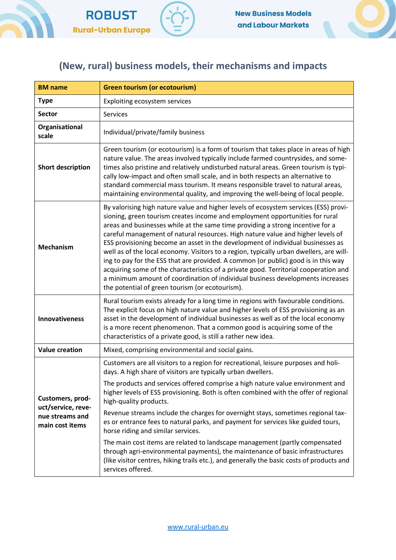



## (New, rural) business models, their mechanisms and impacts

| <b>BM</b> name                                                               | <b>Green tourism (or ecotourism)</b>                                                                                                                                                                                                                                                                                                                                                                                                                                                                                                                                                                                                                                                                                                                                                                                                       |
|------------------------------------------------------------------------------|--------------------------------------------------------------------------------------------------------------------------------------------------------------------------------------------------------------------------------------------------------------------------------------------------------------------------------------------------------------------------------------------------------------------------------------------------------------------------------------------------------------------------------------------------------------------------------------------------------------------------------------------------------------------------------------------------------------------------------------------------------------------------------------------------------------------------------------------|
| <b>Type</b>                                                                  | Exploiting ecosystem services                                                                                                                                                                                                                                                                                                                                                                                                                                                                                                                                                                                                                                                                                                                                                                                                              |
| <b>Sector</b>                                                                | Services                                                                                                                                                                                                                                                                                                                                                                                                                                                                                                                                                                                                                                                                                                                                                                                                                                   |
| Organisational<br>scale                                                      | Individual/private/family business                                                                                                                                                                                                                                                                                                                                                                                                                                                                                                                                                                                                                                                                                                                                                                                                         |
| <b>Short description</b>                                                     | Green tourism (or ecotourism) is a form of tourism that takes place in areas of high<br>nature value. The areas involved typically include farmed countrysides, and some-<br>times also pristine and relatively undisturbed natural areas. Green tourism is typi-<br>cally low-impact and often small scale, and in both respects an alternative to<br>standard commercial mass tourism. It means responsible travel to natural areas,<br>maintaining environmental quality, and improving the well-being of local people.                                                                                                                                                                                                                                                                                                                 |
| <b>Mechanism</b>                                                             | By valorising high nature value and higher levels of ecosystem services (ESS) provi-<br>sioning, green tourism creates income and employment opportunities for rural<br>areas and businesses while at the same time providing a strong incentive for a<br>careful management of natural resources. High nature value and higher levels of<br>ESS provisioning become an asset in the development of individual businesses as<br>well as of the local economy. Visitors to a region, typically urban dwellers, are will-<br>ing to pay for the ESS that are provided. A common (or public) good is in this way<br>acquiring some of the characteristics of a private good. Territorial cooperation and<br>a minimum amount of coordination of individual business developments increases<br>the potential of green tourism (or ecotourism). |
| <b>Innovativeness</b>                                                        | Rural tourism exists already for a long time in regions with favourable conditions.<br>The explicit focus on high nature value and higher levels of ESS provisioning as an<br>asset in the development of individual businesses as well as of the local economy<br>is a more recent phenomenon. That a common good is acquiring some of the<br>characteristics of a private good, is still a rather new idea.                                                                                                                                                                                                                                                                                                                                                                                                                              |
| <b>Value creation</b>                                                        | Mixed, comprising environmental and social gains.                                                                                                                                                                                                                                                                                                                                                                                                                                                                                                                                                                                                                                                                                                                                                                                          |
| Customers, prod-<br>uct/service, reve-<br>nue streams and<br>main cost items | Customers are all visitors to a region for recreational, leisure purposes and holi-<br>days. A high share of visitors are typically urban dwellers.                                                                                                                                                                                                                                                                                                                                                                                                                                                                                                                                                                                                                                                                                        |
|                                                                              | The products and services offered comprise a high nature value environment and<br>higher levels of ESS provisioning. Both is often combined with the offer of regional<br>high-quality products.                                                                                                                                                                                                                                                                                                                                                                                                                                                                                                                                                                                                                                           |
|                                                                              | Revenue streams include the charges for overnight stays, sometimes regional tax-<br>es or entrance fees to natural parks, and payment for services like guided tours,<br>horse riding and similar services.                                                                                                                                                                                                                                                                                                                                                                                                                                                                                                                                                                                                                                |
|                                                                              | The main cost items are related to landscape management (partly compensated<br>through agri-environmental payments), the maintenance of basic infrastructures<br>(like visitor centres, hiking trails etc.), and generally the basic costs of products and<br>services offered.                                                                                                                                                                                                                                                                                                                                                                                                                                                                                                                                                            |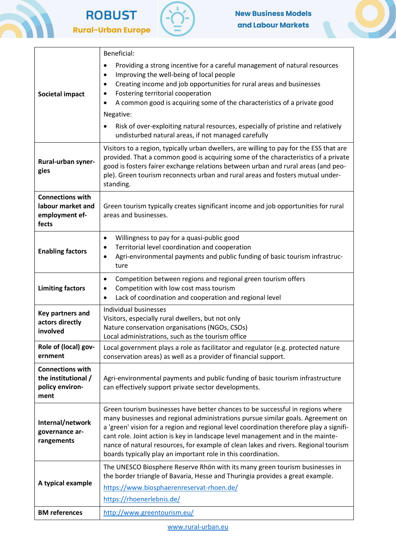







| <b>Societal impact</b>                                                    | Beneficial:<br>Providing a strong incentive for a careful management of natural resources<br>٠<br>Improving the well-being of local people<br>$\bullet$<br>Creating income and job opportunities for rural areas and businesses<br>$\bullet$<br>Fostering territorial cooperation<br>٠<br>A common good is acquiring some of the characteristics of a private good<br>٠<br>Negative:<br>Risk of over-exploiting natural resources, especially of pristine and relatively<br>٠<br>undisturbed natural areas, if not managed carefully |
|---------------------------------------------------------------------------|--------------------------------------------------------------------------------------------------------------------------------------------------------------------------------------------------------------------------------------------------------------------------------------------------------------------------------------------------------------------------------------------------------------------------------------------------------------------------------------------------------------------------------------|
| Rural-urban syner-<br>gies                                                | Visitors to a region, typically urban dwellers, are willing to pay for the ESS that are<br>provided. That a common good is acquiring some of the characteristics of a private<br>good is fosters fairer exchange relations between urban and rural areas (and peo-<br>ple). Green tourism reconnects urban and rural areas and fosters mutual under-<br>standing.                                                                                                                                                                    |
| <b>Connections with</b><br>labour market and<br>employment ef-<br>fects   | Green tourism typically creates significant income and job opportunities for rural<br>areas and businesses.                                                                                                                                                                                                                                                                                                                                                                                                                          |
| <b>Enabling factors</b>                                                   | Willingness to pay for a quasi-public good<br>٠<br>Territorial level coordination and cooperation<br>$\bullet$<br>Agri-environmental payments and public funding of basic tourism infrastruc-<br>$\bullet$<br>ture                                                                                                                                                                                                                                                                                                                   |
| <b>Limiting factors</b>                                                   | Competition between regions and regional green tourism offers<br>٠<br>Competition with low cost mass tourism<br>٠<br>Lack of coordination and cooperation and regional level<br>$\bullet$                                                                                                                                                                                                                                                                                                                                            |
| Key partners and<br>actors directly<br>involved                           | Individual businesses<br>Visitors, especially rural dwellers, but not only<br>Nature conservation organisations (NGOs, CSOs)<br>Local administrations, such as the tourism office                                                                                                                                                                                                                                                                                                                                                    |
| Role of (local) gov-<br>ernment                                           | Local government plays a role as facilitator and regulator (e.g. protected nature<br>conservation areas) as well as a provider of financial support.                                                                                                                                                                                                                                                                                                                                                                                 |
| <b>Connections with</b><br>the institutional /<br>policy environ-<br>ment | Agri-environmental payments and public funding of basic tourism infrastructure<br>can effectively support private sector developments.                                                                                                                                                                                                                                                                                                                                                                                               |
| Internal/network<br>governance ar-<br>rangements                          | Green tourism businesses have better chances to be successful in regions where<br>many businesses and regional administrations pursue similar goals. Agreement on<br>a 'green' vision for a region and regional level coordination therefore play a signifi-<br>cant role. Joint action is key in landscape level management and in the mainte-<br>nance of natural resources, for example of clean lakes and rivers. Regional tourism<br>boards typically play an important role in this coordination.                              |
| A typical example                                                         | The UNESCO Biosphere Reserve Rhön with its many green tourism businesses in<br>the border triangle of Bavaria, Hesse and Thuringia provides a great example.<br>https://www.biosphaerenreservat-rhoen.de/<br>https://rhoenerlebnis.de/                                                                                                                                                                                                                                                                                               |
| <b>BM</b> references                                                      | http://www.greentourism.eu/                                                                                                                                                                                                                                                                                                                                                                                                                                                                                                          |

www.rural-urban.eu